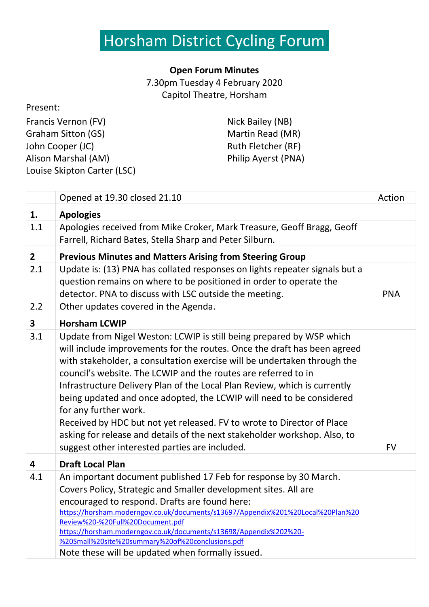### Horsham District Cycling Forumi

### **Open Forum Minutes**

7.30pm Tuesday 4 February 2020 Capitol Theatre, Horsham

#### Present:

| Francis Vernon (FV)         |
|-----------------------------|
| Graham Sitton (GS)          |
| John Cooper (JC)            |
| Alison Marshal (AM)         |
| Louise Skipton Carter (LSC) |

Nick Bailey (NB) Martin Read (MR) Ruth Fletcher (RF) Philip Ayerst (PNA)

|                         | Opened at 19.30 closed 21.10                                                                                                                                                                                                                                                                                                                                                                                                                                                                                                                                                                                                                                                          | Action     |
|-------------------------|---------------------------------------------------------------------------------------------------------------------------------------------------------------------------------------------------------------------------------------------------------------------------------------------------------------------------------------------------------------------------------------------------------------------------------------------------------------------------------------------------------------------------------------------------------------------------------------------------------------------------------------------------------------------------------------|------------|
| 1.                      | <b>Apologies</b>                                                                                                                                                                                                                                                                                                                                                                                                                                                                                                                                                                                                                                                                      |            |
| 1.1                     | Apologies received from Mike Croker, Mark Treasure, Geoff Bragg, Geoff<br>Farrell, Richard Bates, Stella Sharp and Peter Silburn.                                                                                                                                                                                                                                                                                                                                                                                                                                                                                                                                                     |            |
| $\overline{2}$          | <b>Previous Minutes and Matters Arising from Steering Group</b>                                                                                                                                                                                                                                                                                                                                                                                                                                                                                                                                                                                                                       |            |
| 2.1                     | Update is: (13) PNA has collated responses on lights repeater signals but a<br>question remains on where to be positioned in order to operate the<br>detector. PNA to discuss with LSC outside the meeting.                                                                                                                                                                                                                                                                                                                                                                                                                                                                           | <b>PNA</b> |
| 2.2                     | Other updates covered in the Agenda.                                                                                                                                                                                                                                                                                                                                                                                                                                                                                                                                                                                                                                                  |            |
| $\overline{\mathbf{3}}$ | <b>Horsham LCWIP</b>                                                                                                                                                                                                                                                                                                                                                                                                                                                                                                                                                                                                                                                                  |            |
| 3.1                     | Update from Nigel Weston: LCWIP is still being prepared by WSP which<br>will include improvements for the routes. Once the draft has been agreed<br>with stakeholder, a consultation exercise will be undertaken through the<br>council's website. The LCWIP and the routes are referred to in<br>Infrastructure Delivery Plan of the Local Plan Review, which is currently<br>being updated and once adopted, the LCWIP will need to be considered<br>for any further work.<br>Received by HDC but not yet released. FV to wrote to Director of Place<br>asking for release and details of the next stakeholder workshop. Also, to<br>suggest other interested parties are included. | <b>FV</b>  |
| 4                       | <b>Draft Local Plan</b>                                                                                                                                                                                                                                                                                                                                                                                                                                                                                                                                                                                                                                                               |            |
| 4.1                     | An important document published 17 Feb for response by 30 March.<br>Covers Policy, Strategic and Smaller development sites. All are<br>encouraged to respond. Drafts are found here:<br>https://horsham.moderngov.co.uk/documents/s13697/Appendix%201%20Local%20Plan%20<br>Review%20-%20Full%20Document.pdf<br>https://horsham.moderngov.co.uk/documents/s13698/Appendix%202%20-<br>%20Small%20site%20summary%20of%20conclusions.pdf<br>Note these will be updated when formally issued.                                                                                                                                                                                              |            |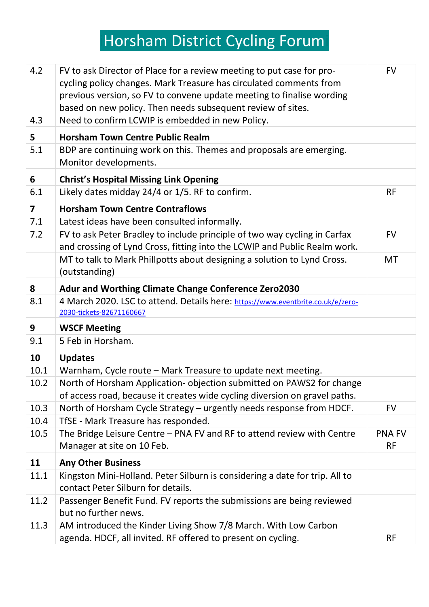# iHorsham District Cycling Forumi

| 4.2                     | FV to ask Director of Place for a review meeting to put case for pro-<br>cycling policy changes. Mark Treasure has circulated comments from<br>previous version, so FV to convene update meeting to finalise wording<br>based on new policy. Then needs subsequent review of sites. | <b>FV</b>                  |
|-------------------------|-------------------------------------------------------------------------------------------------------------------------------------------------------------------------------------------------------------------------------------------------------------------------------------|----------------------------|
| 4.3                     | Need to confirm LCWIP is embedded in new Policy.                                                                                                                                                                                                                                    |                            |
| 5                       | <b>Horsham Town Centre Public Realm</b>                                                                                                                                                                                                                                             |                            |
| 5.1                     | BDP are continuing work on this. Themes and proposals are emerging.<br>Monitor developments.                                                                                                                                                                                        |                            |
| 6                       | <b>Christ's Hospital Missing Link Opening</b>                                                                                                                                                                                                                                       |                            |
| 6.1                     | Likely dates midday 24/4 or 1/5. RF to confirm.                                                                                                                                                                                                                                     | <b>RF</b>                  |
| $\overline{\mathbf{z}}$ | <b>Horsham Town Centre Contraflows</b>                                                                                                                                                                                                                                              |                            |
| 7.1                     | Latest ideas have been consulted informally.                                                                                                                                                                                                                                        |                            |
| 7.2                     | FV to ask Peter Bradley to include principle of two way cycling in Carfax<br>and crossing of Lynd Cross, fitting into the LCWIP and Public Realm work.                                                                                                                              | <b>FV</b>                  |
|                         | MT to talk to Mark Phillpotts about designing a solution to Lynd Cross.<br>(outstanding)                                                                                                                                                                                            | <b>MT</b>                  |
| 8                       | <b>Adur and Worthing Climate Change Conference Zero2030</b>                                                                                                                                                                                                                         |                            |
| 8.1                     | 4 March 2020. LSC to attend. Details here: https://www.eventbrite.co.uk/e/zero-<br>2030-tickets-82671160667                                                                                                                                                                         |                            |
| 9                       | <b>WSCF Meeting</b>                                                                                                                                                                                                                                                                 |                            |
| 9.1                     | 5 Feb in Horsham.                                                                                                                                                                                                                                                                   |                            |
| 10                      | <b>Updates</b>                                                                                                                                                                                                                                                                      |                            |
| 10.1                    | Warnham, Cycle route - Mark Treasure to update next meeting.                                                                                                                                                                                                                        |                            |
| 10.2                    | North of Horsham Application- objection submitted on PAWS2 for change                                                                                                                                                                                                               |                            |
|                         | of access road, because it creates wide cycling diversion on gravel paths.                                                                                                                                                                                                          |                            |
| 10.3                    | North of Horsham Cycle Strategy - urgently needs response from HDCF.                                                                                                                                                                                                                | <b>FV</b>                  |
| 10.4                    | TfSE - Mark Treasure has responded.                                                                                                                                                                                                                                                 |                            |
| 10.5                    | The Bridge Leisure Centre - PNA FV and RF to attend review with Centre<br>Manager at site on 10 Feb.                                                                                                                                                                                | <b>PNA FV</b><br><b>RF</b> |
| 11                      | <b>Any Other Business</b>                                                                                                                                                                                                                                                           |                            |
| 11.1                    | Kingston Mini-Holland. Peter Silburn is considering a date for trip. All to<br>contact Peter Silburn for details.                                                                                                                                                                   |                            |
| 11.2                    | Passenger Benefit Fund. FV reports the submissions are being reviewed<br>but no further news.                                                                                                                                                                                       |                            |
| 11.3                    | AM introduced the Kinder Living Show 7/8 March. With Low Carbon<br>agenda. HDCF, all invited. RF offered to present on cycling.                                                                                                                                                     | <b>RF</b>                  |